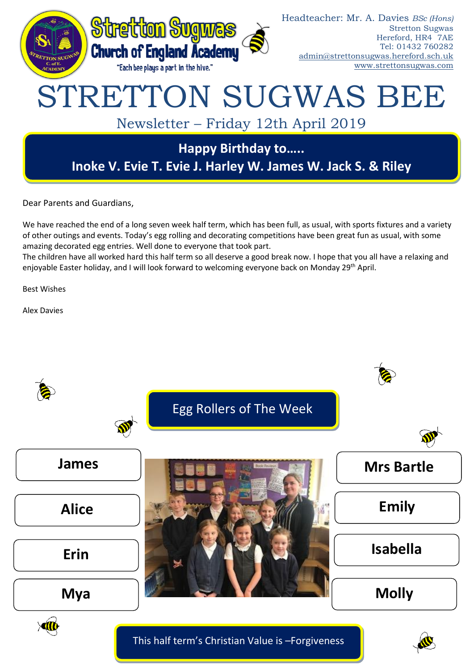

Dear Parents and Guardians,

We have reached the end of a long seven week half term, which has been full, as usual, with sports fixtures and a variety of other outings and events. Today's egg rolling and decorating competitions have been great fun as usual, with some amazing decorated egg entries. Well done to everyone that took part.

The children have all worked hard this half term so all deserve a good break now. I hope that you all have a relaxing and enjoyable Easter holiday, and I will look forward to welcoming everyone back on Monday 29th April.

Best Wishes

Alex Davies



This half term's Christian Value is –Forgiveness